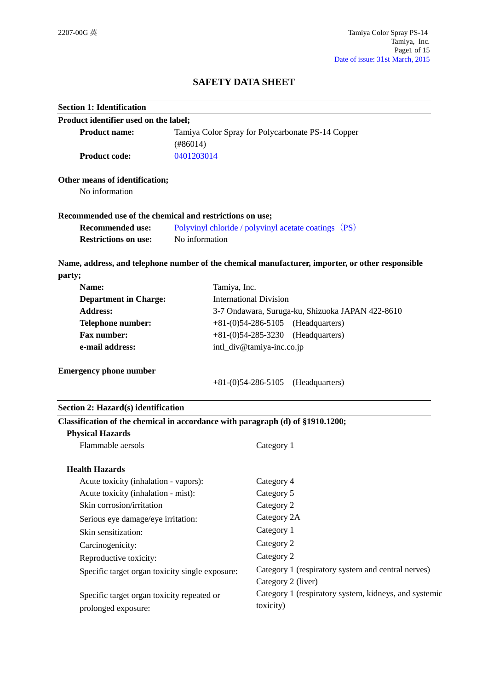# **SAFETY DATA SHEET**

| <b>Section 1: Identification</b>                                               |                                                  |                                                                                                  |
|--------------------------------------------------------------------------------|--------------------------------------------------|--------------------------------------------------------------------------------------------------|
| Product identifier used on the label;                                          |                                                  |                                                                                                  |
| <b>Product name:</b><br>Tamiya Color Spray for Polycarbonate PS-14 Copper      |                                                  |                                                                                                  |
|                                                                                | (#86014)                                         |                                                                                                  |
| <b>Product code:</b>                                                           | 0401203014                                       |                                                                                                  |
| Other means of identification;                                                 |                                                  |                                                                                                  |
| No information                                                                 |                                                  |                                                                                                  |
| Recommended use of the chemical and restrictions on use;                       |                                                  |                                                                                                  |
| <b>Recommended use:</b>                                                        |                                                  | Polyvinyl chloride / polyvinyl acetate coatings (PS)                                             |
| <b>Restrictions on use:</b>                                                    | No information                                   |                                                                                                  |
|                                                                                |                                                  | Name, address, and telephone number of the chemical manufacturer, importer, or other responsible |
| party;                                                                         |                                                  |                                                                                                  |
| Name:                                                                          | Tamiya, Inc.                                     |                                                                                                  |
| <b>Department in Charge:</b>                                                   |                                                  | <b>International Division</b>                                                                    |
| <b>Address:</b>                                                                | 3-7 Ondawara, Suruga-ku, Shizuoka JAPAN 422-8610 |                                                                                                  |
| <b>Telephone number:</b>                                                       | (Headquarters)<br>$+81-(0)54-286-5105$           |                                                                                                  |
| <b>Fax number:</b>                                                             | (Headquarters)<br>$+81-(0)54-285-3230$           |                                                                                                  |
| e-mail address:                                                                | intl_div@tamiya-inc.co.jp                        |                                                                                                  |
| <b>Emergency phone number</b>                                                  |                                                  |                                                                                                  |
|                                                                                |                                                  | $+81-(0)54-286-5105$<br>(Headquarters)                                                           |
| Section 2: Hazard(s) identification                                            |                                                  |                                                                                                  |
| Classification of the chemical in accordance with paragraph (d) of §1910.1200; |                                                  |                                                                                                  |
| <b>Physical Hazards</b>                                                        |                                                  |                                                                                                  |
| Flammable aersols                                                              |                                                  | Category 1                                                                                       |
| <b>Health Hazards</b>                                                          |                                                  |                                                                                                  |
| Acute toxicity (inhalation - vapors):                                          |                                                  | Category 4                                                                                       |
| Acute toxicity (inhalation - mist):                                            |                                                  | Category 5                                                                                       |
| Skin corrosion/irritation                                                      |                                                  | Category 2                                                                                       |
| Serious eye damage/eye irritation:                                             |                                                  | Category 2A                                                                                      |
| Skin sensitization:                                                            |                                                  | Category 1                                                                                       |
| Carcinogenicity:                                                               |                                                  | Category 2                                                                                       |
| Reproductive toxicity:                                                         |                                                  | Category 2                                                                                       |
| Specific target organ toxicity single exposure:                                |                                                  | Category 1 (respiratory system and central nerves)                                               |
|                                                                                |                                                  | Category 2 (liver)                                                                               |
| Specific target organ toxicity repeated or                                     |                                                  | Category 1 (respiratory system, kidneys, and systemic                                            |
| prolonged exposure:                                                            |                                                  | toxicity)                                                                                        |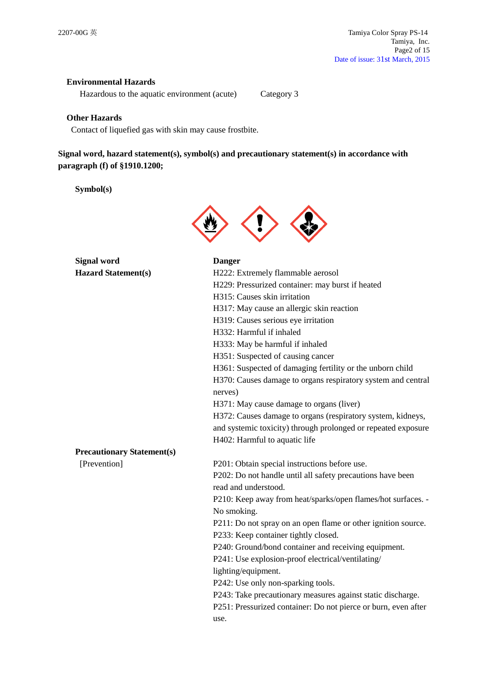## **Environmental Hazards**

Hazardous to the aquatic environment (acute) Category 3

## **Other Hazards**

Contact of liquefied gas with skin may cause frostbite.

# **Signal word, hazard statement(s), symbol(s) and precautionary statement(s) in accordance with paragraph (f) of §1910.1200;**

## **Symbol(s)**



| <b>Signal word</b>                | <b>Danger</b>                                                  |
|-----------------------------------|----------------------------------------------------------------|
| <b>Hazard Statement(s)</b>        | H222: Extremely flammable aerosol                              |
|                                   | H229: Pressurized container: may burst if heated               |
|                                   | H315: Causes skin irritation                                   |
|                                   | H317: May cause an allergic skin reaction                      |
|                                   | H319: Causes serious eye irritation                            |
|                                   | H332: Harmful if inhaled                                       |
|                                   | H333: May be harmful if inhaled                                |
|                                   | H351: Suspected of causing cancer                              |
|                                   | H361: Suspected of damaging fertility or the unborn child      |
|                                   | H370: Causes damage to organs respiratory system and central   |
|                                   | nerves)                                                        |
|                                   | H371: May cause damage to organs (liver)                       |
|                                   | H372: Causes damage to organs (respiratory system, kidneys,    |
|                                   | and systemic toxicity) through prolonged or repeated exposure  |
|                                   | H402: Harmful to aquatic life                                  |
| <b>Precautionary Statement(s)</b> |                                                                |
| [Prevention]                      | P201: Obtain special instructions before use.                  |
|                                   | P202: Do not handle until all safety precautions have been     |
|                                   | read and understood.                                           |
|                                   | P210: Keep away from heat/sparks/open flames/hot surfaces. -   |
|                                   | No smoking.                                                    |
|                                   | P211: Do not spray on an open flame or other ignition source.  |
|                                   | P233: Keep container tightly closed.                           |
|                                   | P240: Ground/bond container and receiving equipment.           |
|                                   | P241: Use explosion-proof electrical/ventilating/              |
|                                   | lighting/equipment.                                            |
|                                   | P242: Use only non-sparking tools.                             |
|                                   | P243: Take precautionary measures against static discharge.    |
|                                   | P251: Pressurized container: Do not pierce or burn, even after |
|                                   | use.                                                           |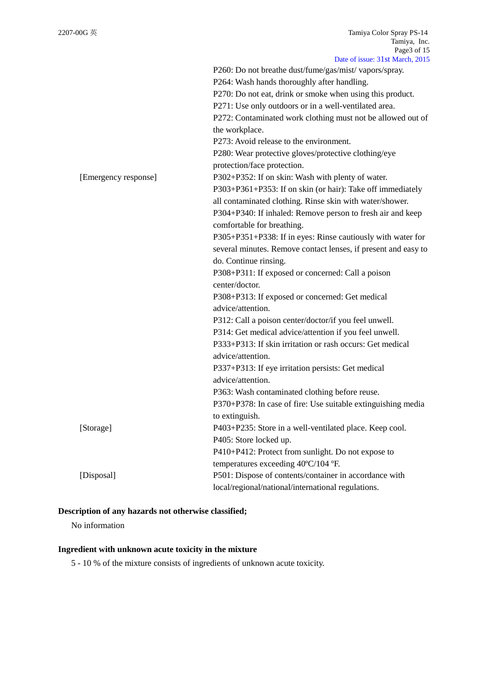| Date of Issue: 51 St March, 2015                               |
|----------------------------------------------------------------|
| P260: Do not breathe dust/fume/gas/mist/ vapors/spray.         |
| P264: Wash hands thoroughly after handling.                    |
| P270: Do not eat, drink or smoke when using this product.      |
| P271: Use only outdoors or in a well-ventilated area.          |
| P272: Contaminated work clothing must not be allowed out of    |
| the workplace.                                                 |
| P273: Avoid release to the environment.                        |
| P280: Wear protective gloves/protective clothing/eye           |
| protection/face protection.                                    |
| P302+P352: If on skin: Wash with plenty of water.              |
| P303+P361+P353: If on skin (or hair): Take off immediately     |
| all contaminated clothing. Rinse skin with water/shower.       |
| P304+P340: If inhaled: Remove person to fresh air and keep     |
| comfortable for breathing.                                     |
| P305+P351+P338: If in eyes: Rinse cautiously with water for    |
| several minutes. Remove contact lenses, if present and easy to |
| do. Continue rinsing.                                          |
| P308+P311: If exposed or concerned: Call a poison              |
| center/doctor.                                                 |
| P308+P313: If exposed or concerned: Get medical                |
| advice/attention.                                              |
| P312: Call a poison center/doctor/if you feel unwell.          |
| P314: Get medical advice/attention if you feel unwell.         |
| P333+P313: If skin irritation or rash occurs: Get medical      |
| advice/attention.                                              |
| P337+P313: If eye irritation persists: Get medical             |
| advice/attention.                                              |
| P363: Wash contaminated clothing before reuse.                 |
| P370+P378: In case of fire: Use suitable extinguishing media   |
| to extinguish.                                                 |
| P403+P235: Store in a well-ventilated place. Keep cool.        |
| P405: Store locked up.                                         |
| P410+P412: Protect from sunlight. Do not expose to             |
| temperatures exceeding 40°C/104 °F.                            |
| P501: Dispose of contents/container in accordance with         |
| local/regional/national/international regulations.             |
|                                                                |

# **Description of any hazards not otherwise classified;**

No information

# **Ingredient with unknown acute toxicity in the mixture**

5 - 10 % of the mixture consists of ingredients of unknown acute toxicity.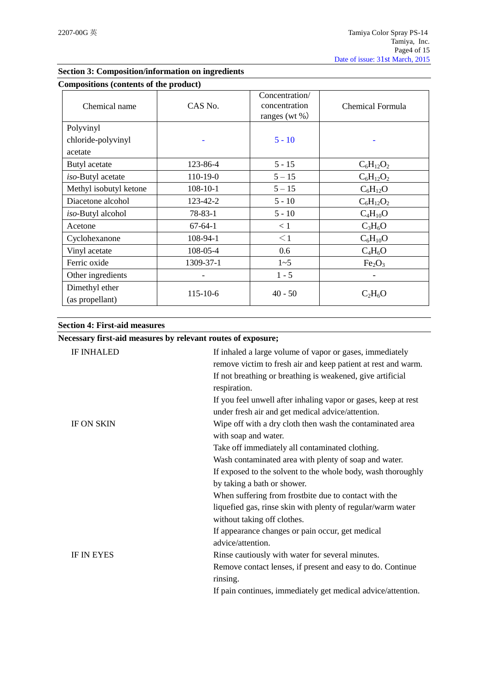| Compositions (contents of the product) |                |                                                      |                                |
|----------------------------------------|----------------|------------------------------------------------------|--------------------------------|
| Chemical name                          | CAS No.        | Concentration/<br>concentration<br>ranges (wt $\%$ ) | Chemical Formula               |
| Polyvinyl                              |                |                                                      |                                |
| chloride-polyvinyl                     |                | $5 - 10$                                             |                                |
| acetate                                |                |                                                      |                                |
| Butyl acetate                          | 123-86-4       | $5 - 15$                                             | $C_6H_{12}O_2$                 |
| iso-Butyl acetate                      | 110-19-0       | $5 - 15$                                             | $C_6H_{12}O_2$                 |
| Methyl isobutyl ketone                 | $108 - 10 - 1$ | $5 - 15$                                             | $C_6H_{12}O$                   |
| Diacetone alcohol                      | 123-42-2       | $5 - 10$                                             | $C_6H_{12}O_2$                 |
| iso-Butyl alcohol                      | $78 - 83 - 1$  | $5 - 10$                                             | $C_4H_{10}O$                   |
| Acetone                                | $67-64-1$      | < 1                                                  | $C_3H_6O$                      |
| Cyclohexanone                          | 108-94-1       | $\leq$ 1                                             | $C_6H_{10}O$                   |
| Vinyl acetate                          | 108-05-4       | 0.6                                                  | $C_4H_6O$                      |
| Ferric oxide                           | 1309-37-1      | $1 - 5$                                              | Fe <sub>2</sub> O <sub>3</sub> |
| Other ingredients                      | -              | $1 - 5$                                              | -                              |
| Dimethyl ether<br>(as propellant)      | $115 - 10 - 6$ | $40 - 50$                                            | $C_2H_6O$                      |

# **Section 3: Composition/information on ingredients**

#### **Section 4: First-aid measures**

# **Necessary first-aid measures by relevant routes of exposure;**

| <b>IF INHALED</b> | If inhaled a large volume of vapor or gases, immediately       |
|-------------------|----------------------------------------------------------------|
|                   | remove victim to fresh air and keep patient at rest and warm.  |
|                   | If not breathing or breathing is weakened, give artificial     |
|                   | respiration.                                                   |
|                   | If you feel unwell after inhaling vapor or gases, keep at rest |
|                   | under fresh air and get medical advice/attention.              |
| <b>IF ON SKIN</b> | Wipe off with a dry cloth then wash the contaminated area      |
|                   | with soap and water.                                           |
|                   | Take off immediately all contaminated clothing.                |
|                   | Wash contaminated area with plenty of soap and water.          |
|                   | If exposed to the solvent to the whole body, wash thoroughly   |
|                   | by taking a bath or shower.                                    |
|                   | When suffering from frostbite due to contact with the          |
|                   | liquefied gas, rinse skin with plenty of regular/warm water    |
|                   | without taking off clothes.                                    |
|                   | If appearance changes or pain occur, get medical               |
|                   | advice/attention.                                              |
| <b>IF IN EYES</b> | Rinse cautiously with water for several minutes.               |
|                   | Remove contact lenses, if present and easy to do. Continue     |
|                   | rinsing.                                                       |
|                   | If pain continues, immediately get medical advice/attention.   |
|                   |                                                                |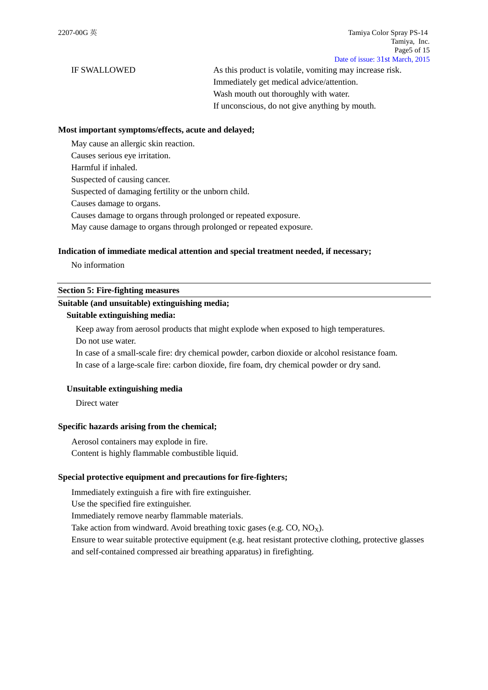IF SWALLOWED As this product is volatile, vomiting may increase risk. Immediately get medical advice/attention. Wash mouth out thoroughly with water. If unconscious, do not give anything by mouth.

#### **Most important symptoms/effects, acute and delayed;**

May cause an allergic skin reaction. Causes serious eye irritation. Harmful if inhaled. Suspected of causing cancer. Suspected of damaging fertility or the unborn child. Causes damage to organs. Causes damage to organs through prolonged or repeated exposure.

May cause damage to organs through prolonged or repeated exposure.

#### **Indication of immediate medical attention and special treatment needed, if necessary;**

No information

## **Section 5: Fire-fighting measures**

## **Suitable (and unsuitable) extinguishing media;**

## **Suitable extinguishing media:**

Keep away from aerosol products that might explode when exposed to high temperatures. Do not use water.

In case of a small-scale fire: dry chemical powder, carbon dioxide or alcohol resistance foam. In case of a large-scale fire: carbon dioxide, fire foam, dry chemical powder or dry sand.

## **Unsuitable extinguishing media**

Direct water

#### **Specific hazards arising from the chemical;**

Aerosol containers may explode in fire. Content is highly flammable combustible liquid.

#### **Special protective equipment and precautions for fire-fighters;**

Immediately extinguish a fire with fire extinguisher.

Use the specified fire extinguisher.

Immediately remove nearby flammable materials.

Take action from windward. Avoid breathing toxic gases (e.g.  $CO$ ,  $NO<sub>X</sub>$ ).

Ensure to wear suitable protective equipment (e.g. heat resistant protective clothing, protective glasses and self-contained compressed air breathing apparatus) in firefighting.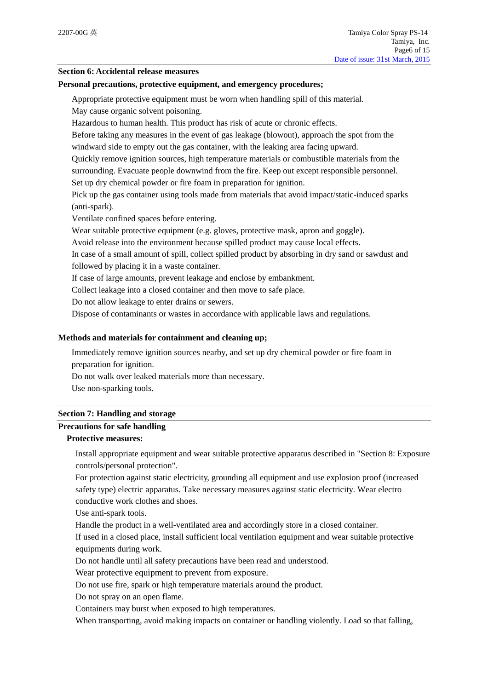## **Section 6: Accidental release measures**

#### **Personal precautions, protective equipment, and emergency procedures;**

Appropriate protective equipment must be worn when handling spill of this material.

May cause organic solvent poisoning.

Hazardous to human health. This product has risk of acute or chronic effects.

Before taking any measures in the event of gas leakage (blowout), approach the spot from the windward side to empty out the gas container, with the leaking area facing upward.

Quickly remove ignition sources, high temperature materials or combustible materials from the surrounding. Evacuate people downwind from the fire. Keep out except responsible personnel.

Set up dry chemical powder or fire foam in preparation for ignition.

Pick up the gas container using tools made from materials that avoid impact/static-induced sparks (anti-spark).

Ventilate confined spaces before entering.

Wear suitable protective equipment (e.g. gloves, protective mask, apron and goggle).

Avoid release into the environment because spilled product may cause local effects.

In case of a small amount of spill, collect spilled product by absorbing in dry sand or sawdust and followed by placing it in a waste container.

If case of large amounts, prevent leakage and enclose by embankment.

Collect leakage into a closed container and then move to safe place.

Do not allow leakage to enter drains or sewers.

Dispose of contaminants or wastes in accordance with applicable laws and regulations.

## **Methods and materials for containment and cleaning up;**

Immediately remove ignition sources nearby, and set up dry chemical powder or fire foam in preparation for ignition.

Do not walk over leaked materials more than necessary.

Use non-sparking tools.

#### **Section 7: Handling and storage**

## **Precautions for safe handling**

# **Protective measures:**

Install appropriate equipment and wear suitable protective apparatus described in "Section 8: Exposure controls/personal protection".

For protection against static electricity, grounding all equipment and use explosion proof (increased safety type) electric apparatus. Take necessary measures against static electricity. Wear electro conductive work clothes and shoes.

Use anti-spark tools.

Handle the product in a well-ventilated area and accordingly store in a closed container.

If used in a closed place, install sufficient local ventilation equipment and wear suitable protective equipments during work.

Do not handle until all safety precautions have been read and understood.

Wear protective equipment to prevent from exposure.

Do not use fire, spark or high temperature materials around the product.

Do not spray on an open flame.

Containers may burst when exposed to high temperatures.

When transporting, avoid making impacts on container or handling violently. Load so that falling,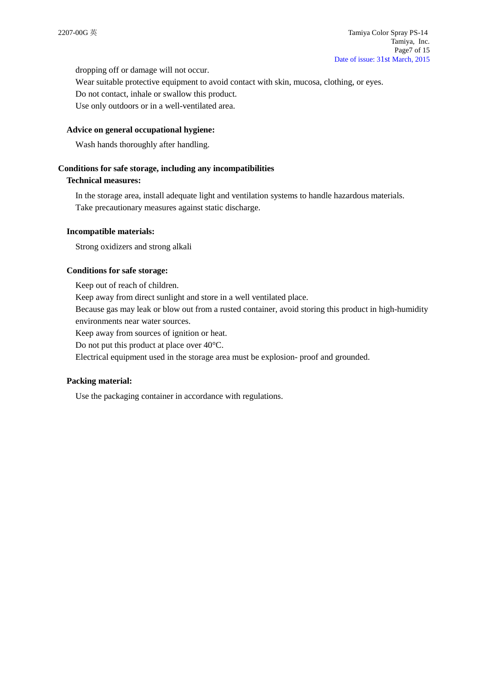dropping off or damage will not occur.

Wear suitable protective equipment to avoid contact with skin, mucosa, clothing, or eyes. Do not contact, inhale or swallow this product.

Use only outdoors or in a well-ventilated area.

## **Advice on general occupational hygiene:**

Wash hands thoroughly after handling.

## **Conditions for safe storage, including any incompatibilities**

## **Technical measures:**

In the storage area, install adequate light and ventilation systems to handle hazardous materials. Take precautionary measures against static discharge.

## **Incompatible materials:**

Strong oxidizers and strong alkali

## **Conditions for safe storage:**

Keep out of reach of children. Keep away from direct sunlight and store in a well ventilated place. Because gas may leak or blow out from a rusted container, avoid storing this product in high-humidity environments near water sources.

Keep away from sources of ignition or heat.

Do not put this product at place over 40°C.

Electrical equipment used in the storage area must be explosion- proof and grounded.

## **Packing material:**

Use the packaging container in accordance with regulations.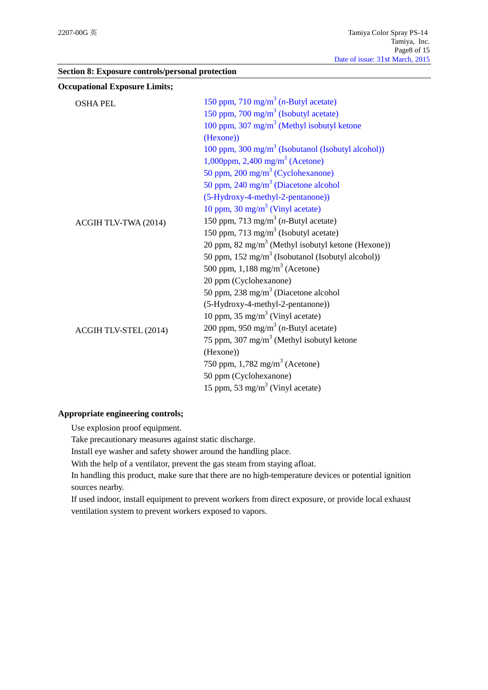|  |  | Section 8: Exposure controls/personal protection |  |
|--|--|--------------------------------------------------|--|
|--|--|--------------------------------------------------|--|

| <b>Occupational Exposure Limits;</b> |                                                                |
|--------------------------------------|----------------------------------------------------------------|
| <b>OSHA PEL</b>                      | 150 ppm, 710 mg/m <sup>3</sup> ( <i>n</i> -Butyl acetate)      |
|                                      | 150 ppm, 700 mg/m <sup>3</sup> (Isobutyl acetate)              |
|                                      | 100 ppm, 307 mg/m <sup>3</sup> (Methyl isobutyl ketone         |
|                                      | (Hexone))                                                      |
|                                      | 100 ppm, $300 \text{ mg/m}^3$ (Isobutanol (Isobutyl alcohol))  |
|                                      | 1,000ppm, 2,400 mg/m <sup>3</sup> (Acetone)                    |
|                                      | 50 ppm, 200 mg/m <sup>3</sup> (Cyclohexanone)                  |
|                                      | 50 ppm, 240 mg/m <sup>3</sup> (Diacetone alcohol               |
|                                      | (5-Hydroxy-4-methyl-2-pentanone))                              |
|                                      | 10 ppm, 30 mg/m <sup>3</sup> (Vinyl acetate)                   |
| ACGIH TLV-TWA (2014)                 | 150 ppm, 713 mg/m <sup>3</sup> ( <i>n</i> -Butyl acetate)      |
|                                      | 150 ppm, 713 mg/m <sup>3</sup> (Isobutyl acetate)              |
|                                      | 20 ppm, 82 mg/m <sup>3</sup> (Methyl isobutyl ketone (Hexone)) |
|                                      | 50 ppm, 152 mg/m <sup>3</sup> (Isobutanol (Isobutyl alcohol))  |
|                                      | 500 ppm, $1,188$ mg/m <sup>3</sup> (Acetone)                   |
|                                      | 20 ppm (Cyclohexanone)                                         |
|                                      | 50 ppm, 238 mg/m <sup>3</sup> (Diacetone alcohol               |
|                                      | (5-Hydroxy-4-methyl-2-pentanone))                              |
|                                      | 10 ppm, $35 \text{ mg/m}^3$ (Vinyl acetate)                    |
| ACGIH TLV-STEL (2014)                | 200 ppm, 950 mg/m <sup>3</sup> ( <i>n</i> -Butyl acetate)      |
|                                      | 75 ppm, 307 mg/m <sup>3</sup> (Methyl isobutyl ketone          |
|                                      | (Hexone))                                                      |
|                                      | 750 ppm, $1,782 \text{ mg/m}^3$ (Acetone)                      |
|                                      | 50 ppm (Cyclohexanone)                                         |
|                                      | 15 ppm, 53 mg/m <sup>3</sup> (Vinyl acetate)                   |

# **Appropriate engineering controls;**

Use explosion proof equipment.

Take precautionary measures against static discharge.

Install eye washer and safety shower around the handling place.

With the help of a ventilator, prevent the gas steam from staying afloat.

In handling this product, make sure that there are no high-temperature devices or potential ignition sources nearby.

If used indoor, install equipment to prevent workers from direct exposure, or provide local exhaust ventilation system to prevent workers exposed to vapors.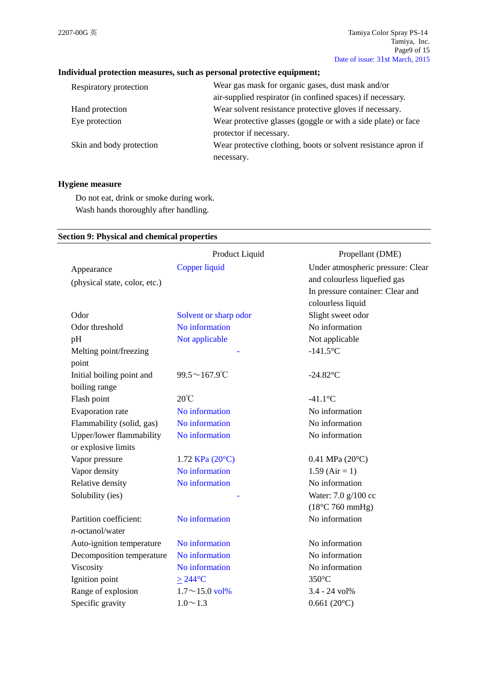# **Individual protection measures, such as personal protective equipment;**

| Respiratory protection   | Wear gas mask for organic gases, dust mask and/or              |
|--------------------------|----------------------------------------------------------------|
|                          | air-supplied respirator (in confined spaces) if necessary.     |
| Hand protection          | Wear solvent resistance protective gloves if necessary.        |
| Eye protection           | Wear protective glasses (goggle or with a side plate) or face  |
|                          | protector if necessary.                                        |
| Skin and body protection | Wear protective clothing, boots or solvent resistance apron if |
|                          | necessary.                                                     |

## **Hygiene measure**

Do not eat, drink or smoke during work. Wash hands thoroughly after handling.

## **Section 9: Physical and chemical properties**

| Under atmospheric pressure: Clear<br>Copper liquid<br>Appearance<br>and colourless liquefied gas<br>(physical state, color, etc.)<br>In pressure container: Clear and<br>colourless liquid<br>Slight sweet odor<br>Odor<br>Solvent or sharp odor<br>No information<br>No information<br>Odor threshold<br>Not applicable<br>Not applicable<br>pH |
|--------------------------------------------------------------------------------------------------------------------------------------------------------------------------------------------------------------------------------------------------------------------------------------------------------------------------------------------------|
|                                                                                                                                                                                                                                                                                                                                                  |
|                                                                                                                                                                                                                                                                                                                                                  |
|                                                                                                                                                                                                                                                                                                                                                  |
|                                                                                                                                                                                                                                                                                                                                                  |
|                                                                                                                                                                                                                                                                                                                                                  |
|                                                                                                                                                                                                                                                                                                                                                  |
|                                                                                                                                                                                                                                                                                                                                                  |
| $-141.5$ °C<br>Melting point/freezing                                                                                                                                                                                                                                                                                                            |
| point                                                                                                                                                                                                                                                                                                                                            |
| Initial boiling point and<br>$99.5 \sim 167.9$ °C<br>$-24.82$ °C                                                                                                                                                                                                                                                                                 |
| boiling range                                                                                                                                                                                                                                                                                                                                    |
| $20^{\circ}C$<br>Flash point<br>$-41.1$ °C                                                                                                                                                                                                                                                                                                       |
| Evaporation rate<br>No information<br>No information                                                                                                                                                                                                                                                                                             |
| No information<br>No information<br>Flammability (solid, gas)                                                                                                                                                                                                                                                                                    |
| Upper/lower flammability<br>No information<br>No information                                                                                                                                                                                                                                                                                     |
| or explosive limits                                                                                                                                                                                                                                                                                                                              |
| Vapor pressure<br>1.72 KPa (20°C)<br>$0.41$ MPa $(20^{\circ}C)$                                                                                                                                                                                                                                                                                  |
| No information<br>Vapor density<br>$1.59$ (Air = 1)                                                                                                                                                                                                                                                                                              |
| No information<br>No information<br>Relative density                                                                                                                                                                                                                                                                                             |
| Solubility (ies)<br>Water: 7.0 g/100 cc                                                                                                                                                                                                                                                                                                          |
| $(18^{\circ}$ C 760 mmHg)                                                                                                                                                                                                                                                                                                                        |
| No information<br>Partition coefficient:<br>No information                                                                                                                                                                                                                                                                                       |
| $n$ -octanol/water                                                                                                                                                                                                                                                                                                                               |
| No information<br>Auto-ignition temperature<br>No information                                                                                                                                                                                                                                                                                    |
| No information<br>Decomposition temperature<br>No information                                                                                                                                                                                                                                                                                    |
| No information<br>Viscosity<br>No information                                                                                                                                                                                                                                                                                                    |
| Ignition point<br>$350^{\circ}$ C<br>$\geq$ 244°C                                                                                                                                                                                                                                                                                                |
| Range of explosion<br>$1.7 \sim 15.0$ vol%<br>3.4 - 24 vol%                                                                                                                                                                                                                                                                                      |
| Specific gravity<br>$1.0 \sim 1.3$<br>$0.661(20^{\circ}C)$                                                                                                                                                                                                                                                                                       |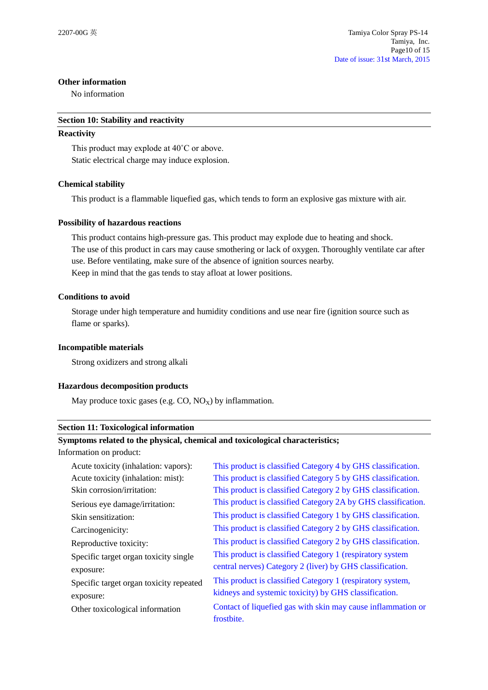## **Other information**

No information

## **Section 10: Stability and reactivity**

## **Reactivity**

This product may explode at 40˚C or above. Static electrical charge may induce explosion.

## **Chemical stability**

This product is a flammable liquefied gas, which tends to form an explosive gas mixture with air.

## **Possibility of hazardous reactions**

This product contains high-pressure gas. This product may explode due to heating and shock. The use of this product in cars may cause smothering or lack of oxygen. Thoroughly ventilate car after use. Before ventilating, make sure of the absence of ignition sources nearby. Keep in mind that the gas tends to stay afloat at lower positions.

## **Conditions to avoid**

Storage under high temperature and humidity conditions and use near fire (ignition source such as flame or sparks).

## **Incompatible materials**

Strong oxidizers and strong alkali

## **Hazardous decomposition products**

May produce toxic gases (e.g.  $CO$ ,  $NO_X$ ) by inflammation.

#### **Section 11: Toxicological information**

## **Symptoms related to the physical, chemical and toxicological characteristics;**

Information on product:

| Acute toxicity (inhalation: vapors):    | This product is classified Category 4 by GHS classification.  |
|-----------------------------------------|---------------------------------------------------------------|
| Acute toxicity (inhalation: mist):      | This product is classified Category 5 by GHS classification.  |
| Skin corrosion/irritation:              | This product is classified Category 2 by GHS classification.  |
| Serious eye damage/irritation:          | This product is classified Category 2A by GHS classification. |
| Skin sensitization:                     | This product is classified Category 1 by GHS classification.  |
| Carcinogenicity:                        | This product is classified Category 2 by GHS classification.  |
| Reproductive toxicity:                  | This product is classified Category 2 by GHS classification.  |
| Specific target organ toxicity single   | This product is classified Category 1 (respiratory system     |
| exposure:                               | central nerves) Category 2 (liver) by GHS classification.     |
| Specific target organ toxicity repeated | This product is classified Category 1 (respiratory system,    |
| exposure:                               | kidneys and systemic toxicity) by GHS classification.         |
| Other toxicological information         | Contact of liquefied gas with skin may cause inflammation or  |
|                                         | frostbite.                                                    |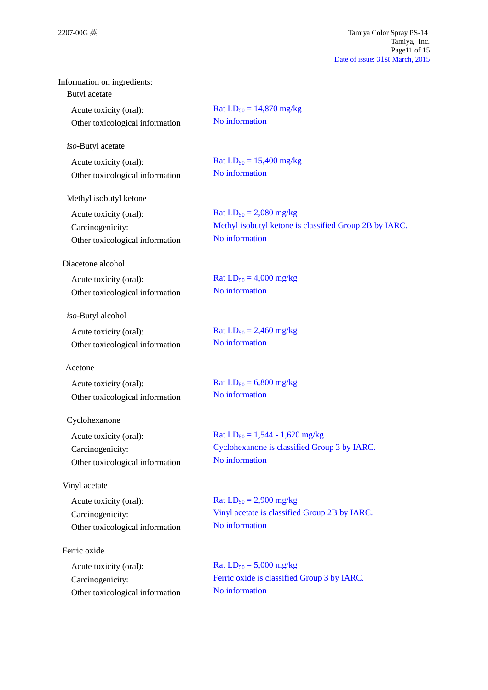| Information on ingredients:<br>Butyl acetate |                                                        |
|----------------------------------------------|--------------------------------------------------------|
| Acute toxicity (oral):                       | Rat $LD_{50} = 14,870$ mg/kg                           |
| Other toxicological information              | No information                                         |
| iso-Butyl acetate                            |                                                        |
| Acute toxicity (oral):                       | Rat $LD_{50} = 15,400$ mg/kg                           |
| Other toxicological information              | No information                                         |
| Methyl isobutyl ketone                       |                                                        |
| Acute toxicity (oral):                       | Rat $LD_{50} = 2,080$ mg/kg                            |
| Carcinogenicity:                             | Methyl isobutyl ketone is classified Group 2B by IARC. |
| Other toxicological information              | No information                                         |
| Diacetone alcohol                            |                                                        |
| Acute toxicity (oral):                       | Rat $LD_{50} = 4,000$ mg/kg                            |
| Other toxicological information              | No information                                         |
| iso-Butyl alcohol                            |                                                        |
| Acute toxicity (oral):                       | Rat $LD_{50} = 2,460$ mg/kg                            |
| Other toxicological information              | No information                                         |
| Acetone                                      |                                                        |
| Acute toxicity (oral):                       | Rat $LD_{50} = 6,800$ mg/kg                            |
| Other toxicological information              | No information                                         |
| Cyclohexanone                                |                                                        |
| Acute toxicity (oral):                       | Rat $LD_{50} = 1,544 - 1,620$ mg/kg                    |
| Carcinogenicity:                             | Cyclohexanone is classified Group 3 by IARC.           |
| Other toxicological information              | No information                                         |
| Vinyl acetate                                |                                                        |
| Acute toxicity (oral):                       | Rat $LD_{50} = 2,900$ mg/kg                            |
| Carcinogenicity:                             | Vinyl acetate is classified Group 2B by IARC.          |
| Other toxicological information              | No information                                         |
| Ferric oxide                                 |                                                        |
| Acute toxicity (oral):                       | Rat $LD_{50} = 5,000$ mg/kg                            |
| Carcinogenicity:                             | Ferric oxide is classified Group 3 by IARC.            |
| Other toxicological information              | No information                                         |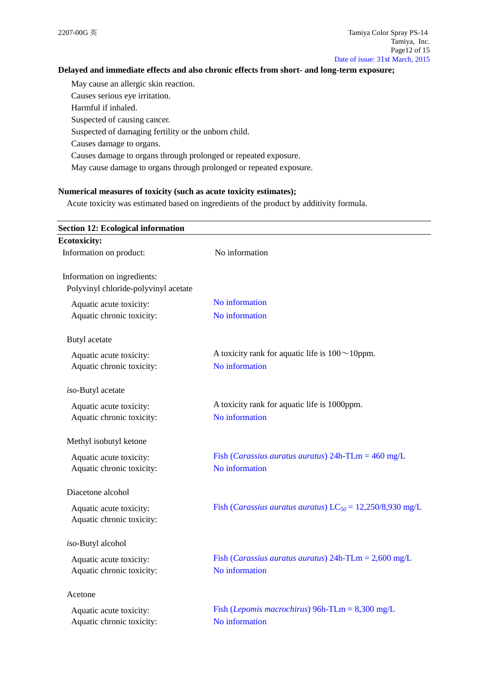## **Delayed and immediate effects and also chronic effects from short- and long-term exposure;**

May cause an allergic skin reaction. Causes serious eye irritation. Harmful if inhaled.

Suspected of causing cancer.

Suspected of damaging fertility or the unborn child.

Causes damage to organs.

Causes damage to organs through prolonged or repeated exposure.

May cause damage to organs through prolonged or repeated exposure.

## **Numerical measures of toxicity (such as acute toxicity estimates);**

Acute toxicity was estimated based on ingredients of the product by additivity formula.

| <b>Section 12: Ecological information</b> |                                                                         |
|-------------------------------------------|-------------------------------------------------------------------------|
| <b>Ecotoxicity:</b>                       |                                                                         |
| Information on product:                   | No information                                                          |
| Information on ingredients:               |                                                                         |
| Polyvinyl chloride-polyvinyl acetate      |                                                                         |
| Aquatic acute toxicity:                   | No information                                                          |
| Aquatic chronic toxicity:                 | No information                                                          |
| Butyl acetate                             |                                                                         |
| Aquatic acute toxicity:                   | A toxicity rank for aquatic life is $100 \sim 10$ ppm.                  |
| Aquatic chronic toxicity:                 | No information                                                          |
| iso-Butyl acetate                         |                                                                         |
| Aquatic acute toxicity:                   | A toxicity rank for aquatic life is 1000ppm.                            |
| Aquatic chronic toxicity:                 | No information                                                          |
| Methyl isobutyl ketone                    |                                                                         |
| Aquatic acute toxicity:                   | Fish ( <i>Carassius auratus auratus</i> ) $24h$ -TLm = $460$ mg/L       |
| Aquatic chronic toxicity:                 | No information                                                          |
| Diacetone alcohol                         |                                                                         |
| Aquatic acute toxicity:                   | Fish ( <i>Carassius auratus auratus</i> ) $LC_{50} = 12,250/8,930$ mg/L |
| Aquatic chronic toxicity:                 |                                                                         |
| iso-Butyl alcohol                         |                                                                         |
| Aquatic acute toxicity:                   | Fish ( <i>Carassius auratus auratus</i> ) $24h$ -TLm = $2,600$ mg/L     |
| Aquatic chronic toxicity:                 | No information                                                          |
| Acetone                                   |                                                                         |
| Aquatic acute toxicity:                   | Fish ( <i>Lepomis macrochirus</i> ) 96h-TLm = $8,300$ mg/L              |
| Aquatic chronic toxicity:                 | No information                                                          |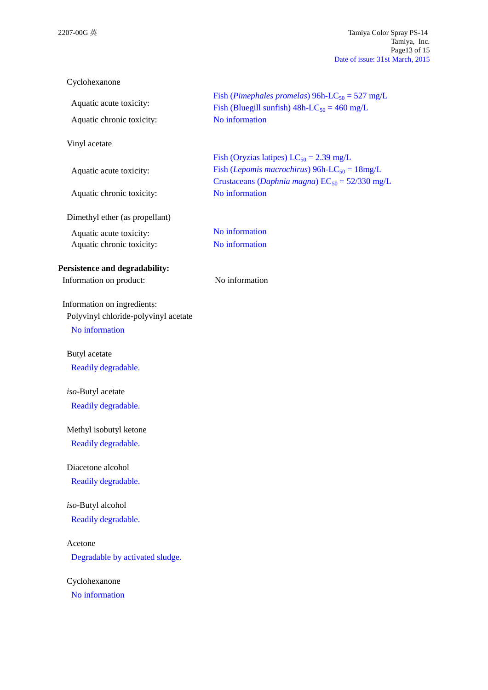| Cyclohexanone                        |                                                                                                                            |
|--------------------------------------|----------------------------------------------------------------------------------------------------------------------------|
| Aquatic acute toxicity:              | Fish (Pimephales promelas) $96h-LC_{50} = 527 mg/L$                                                                        |
| Aquatic chronic toxicity:            | Fish (Bluegill sunfish) $48h$ -LC <sub>50</sub> = 460 mg/L<br>No information                                               |
|                                      |                                                                                                                            |
| Vinyl acetate                        |                                                                                                                            |
|                                      | Fish (Oryzias latipes) $LC_{50} = 2.39$ mg/L                                                                               |
| Aquatic acute toxicity:              | Fish ( <i>Lepomis macrochirus</i> ) 96h-LC <sub>50</sub> = $18mg/L$<br>Crustaceans (Daphnia magna) $EC_{50} = 52/330$ mg/L |
| Aquatic chronic toxicity:            | No information                                                                                                             |
| Dimethyl ether (as propellant)       |                                                                                                                            |
| Aquatic acute toxicity:              | No information                                                                                                             |
| Aquatic chronic toxicity:            | No information                                                                                                             |
| Persistence and degradability:       |                                                                                                                            |
| Information on product:              | No information                                                                                                             |
| Information on ingredients:          |                                                                                                                            |
| Polyvinyl chloride-polyvinyl acetate |                                                                                                                            |
| No information                       |                                                                                                                            |
| Butyl acetate                        |                                                                                                                            |
| Readily degradable.                  |                                                                                                                            |
|                                      |                                                                                                                            |
| iso-Butyl acetate                    |                                                                                                                            |
| Readily degradable.                  |                                                                                                                            |
| Methyl isobutyl ketone               |                                                                                                                            |
| Readily degradable.                  |                                                                                                                            |
| Diacetone alcohol                    |                                                                                                                            |
| Readily degradable.                  |                                                                                                                            |
| iso-Butyl alcohol                    |                                                                                                                            |
| Readily degradable.                  |                                                                                                                            |
| Acetone                              |                                                                                                                            |
| Degradable by activated sludge.      |                                                                                                                            |
|                                      |                                                                                                                            |
| Cyclohexanone                        |                                                                                                                            |
| No information                       |                                                                                                                            |
|                                      |                                                                                                                            |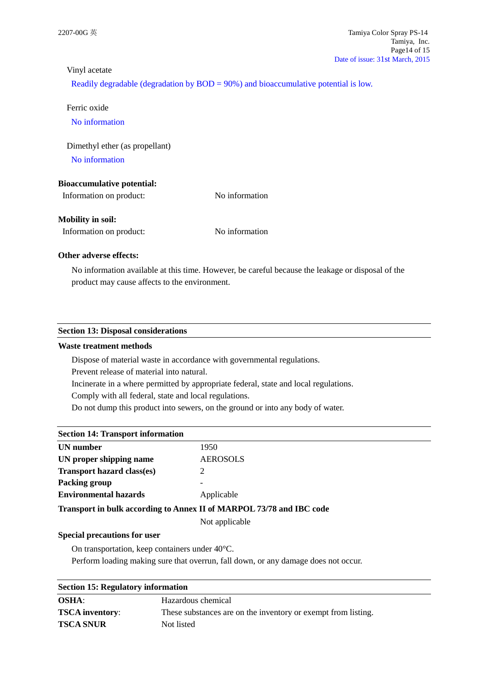## Vinyl acetate

Readily degradable (degradation by BOD = 90%) and bioaccumulative potential is low.

Ferric oxide

No information

Dimethyl ether (as propellant)

No information

## **Bioaccumulative potential:**

Information on product: No information

## **Mobility in soil:**

Information on product: No information

#### **Other adverse effects:**

No information available at this time. However, be careful because the leakage or disposal of the product may cause affects to the environment.

#### **Section 13: Disposal considerations**

#### **Waste treatment methods**

Dispose of material waste in accordance with governmental regulations.

Prevent release of material into natural.

Incinerate in a where permitted by appropriate federal, state and local regulations.

Comply with all federal, state and local regulations.

Do not dump this product into sewers, on the ground or into any body of water.

## **Section 14: Transport information**

| 1950                                                                 |
|----------------------------------------------------------------------|
| <b>AEROSOLS</b>                                                      |
| 2                                                                    |
|                                                                      |
| Applicable                                                           |
| Transport in bulk according to Annex II of MARPOL 73/78 and IBC code |
| Not applicable                                                       |
|                                                                      |

#### **Special precautions for user**

On transportation, keep containers under 40°C.

Perform loading making sure that overrun, fall down, or any damage does not occur.

| <b>Section 15: Regulatory information</b> |                                                               |
|-------------------------------------------|---------------------------------------------------------------|
| <b>OSHA:</b>                              | Hazardous chemical                                            |
| <b>TSCA</b> inventory:                    | These substances are on the inventory or exempt from listing. |
| <b>TSCA SNUR</b>                          | Not listed                                                    |